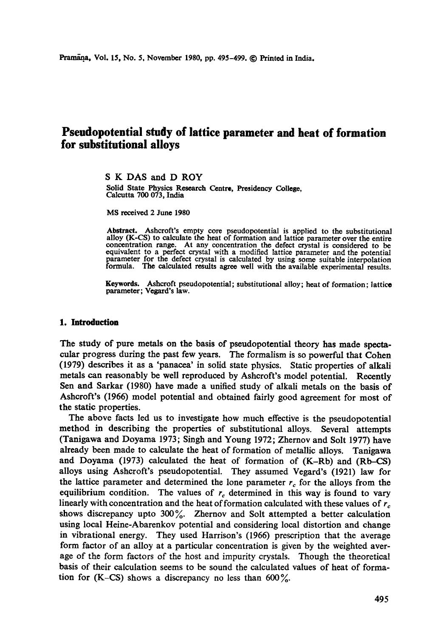# **Psendopotential study of lattice parameter and heat of formation for substitutional alloys**

S K DAS and D ROY Solid State Physics Research Centre, Presidency College, Calcutta 700 073, India

MS received 2 June 1980

Abstract. Ashcroft's empty core pseudopotential is applied to the substitutional alloy (K-CS) to calculate the heat of formation and lattice parameter over the entire concentration range. At any concentration the defect crystal is considered to be equivalent to a perfect crystal with a modified lattice parameter and the potential parameter for the defect crystal is calculated by using some suitable interpolation formula. The calculated results agree well with the available experimental results.

**Keywords.** Ashcroft pseudopotential; substitutional alloy; heat of formation; lattice parameter; Vegard's law.

## **1. Introduction**

The study of pure metals on the basis of pseudopotential theory has made spectacular progress during the past few years. The formalism is so powerful that Cohen (1979) describes it as a 'panacea' in solid state physics. Static properties of alkali metals can reasonably be well reproduced by Ashcroft's model potential. Recently Sen and Sarkar (1980) have made a unified study of alkali metals on the basis of Ashcroft's (1966) model potential and obtained fairly good agreement for most of the static properties.

The above facts led us to investigate how much effective is the pseudopotential method in describing the properties of substitutional alloys. Several attempts (Tanigawa and Doyama 1973; Singh and Young 1972; Zhernov and Solt 1977) have already been made to calculate the heat of formation of metallic alloys. Tanigawa and Doyama (1973) calculated the heat of formation of (K-Rb) and (Rb-CS) alloys using Ashcroft's pseudopotential. They assumed Vegard's (1921) law for the lattice parameter and determined the lone parameter  $r_c$  for the alloys from the equilibrium condition. The values of  $r_c$  determined in this way is found to vary linearly with concentration and the heat of formation calculated with these values of  $r_c$ shows discrepancy upto  $300\%$ . Zhernov and Solt attempted a better calculation using local Heine-Abarenkov potential and considering local distortion and change in vibrational energy. They used Harrison's (1966) prescription that the average form factor of an alloy at a particular concentration is given by the weighted average of the form factors of the host and impurity crystals. Though the theoretical basis of their calculation seems to be sound the calculated values of heat of formation for (K–CS) shows a discrepancy no less than  $600\%$ .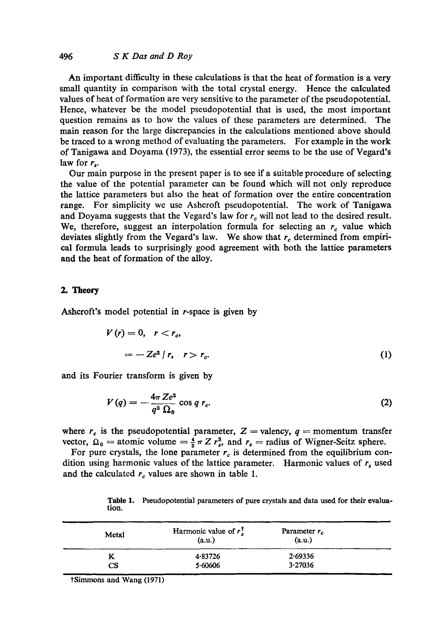An important difficulty in these calculations is that the heat of formation is a very small quantity in comparison with the total crystal energy. Hence the calculated values of heat of formation are very sensitive to the parameter of the pseudopotential. Hence, whatever be the model pseudopotential that is used, the most important question remains as to how the values of these parameters are determined. The main reason for the large discrepancies in the calculations mentioned above should be traced to a wrong method of evaluating the parameters. For example in the work of Tanigawa and Doyama (1973), the essential error seems to be the use of Vegard's law for  $r_s$ .

Our main purpose in the present paper is to see if a suitable procedure of selecting the value of the potential parameter can be found which will not only reproduce the lattice parameters but also the heat of formation over the entire concentration range. For simplicity we use Ashcroft pseudopotential. The work of Tanigawa and Doyama suggests that the Vegard's law for  $r_c$  will not lead to the desired result. We, therefore, suggest an interpolation formula for selecting an  $r_c$  value which deviates slightly from the Vegard's law. We show that  $r_c$  determined from empirical formula leads to surprisingly good agreement with both the lattice parameters and the heat of formation of the alloy.

## 2. **Theory**

Ashcroft's model potential in r-space is given by

$$
V(r) = 0, \quad r < r_c,
$$
\n
$$
= -\left[Ze^2 / r, \quad r > r_c.\right] \tag{1}
$$

and its Fourier transform is given by

$$
V(q) = -\frac{4\pi Ze^2}{q^2 \Omega_0} \cos q r_c. \tag{2}
$$

where  $r_c$  is the pseudopotential parameter,  $Z$  = valency,  $q$  = momentum transfer vector,  $\Omega_0 =$  atomic volume  $= \frac{4}{3} \pi Z r_s^3$ , and  $r_s =$  radius of Wigner-Seitz sphere.

For pure crystals, the lone parameter  $r_c$  is determined from the equilibrium condition using harmonic values of the lattice parameter. Harmonic values of  $r_s$  used and the calculated  $r_c$  values are shown in table 1.

**Table** 1. Pseudopotential parameters of pure crystals and data used for their **evaluation.** 

| Metal | Harmonic value of $r_s^{\dagger}$<br>(a.u.) | Parameter $r_c$<br>(a.u.) |  |
|-------|---------------------------------------------|---------------------------|--|
| ĸ     | 4-83726                                     | 2.69336                   |  |
| CS    | 5.60606                                     | 3.27036                   |  |

tSimmons and Wang (1971)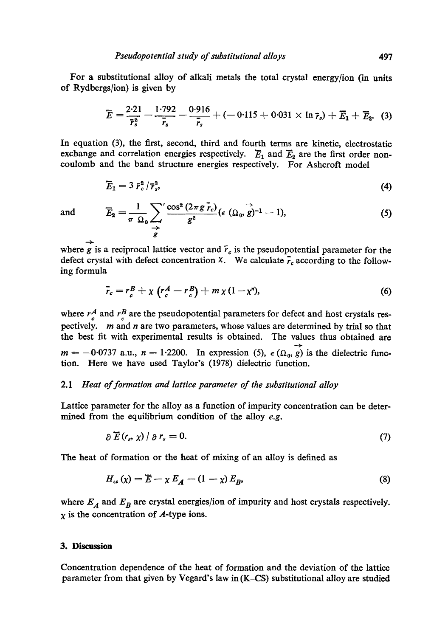For a substitutional alloy of alkali metals the total crystal energy/ion (in units of Rydbergs/ion) is given by

$$
\overline{E} = \frac{2.21}{\overline{r}_s^2} - \frac{1.792}{\overline{r}_s} - \frac{0.916}{\overline{r}_s} + (-0.115 + 0.031 \times \ln \overline{r}_s) + \overline{E}_1 + \overline{E}_2.
$$
 (3)

In equation (3), the first, second, third and fourth terms are kinetic, electrostatic exchange and correlation energies respectively.  $\overline{E}_1$  and  $\overline{E}_2$  are the first order noncoulomb and the band structure energies respectively. For Ashcroft model

$$
\overline{E}_1 = 3 \overline{r}_c^2 / \overline{r}_s^3, \tag{4}
$$

and 
$$
\overline{E}_2 = \frac{1}{\pi \Omega_0} \sum_{\substack{\rightarrow \\ \mathcal{E}}} \frac{\cos^2(2\pi g \overline{r}_c)}{g^2} (\epsilon (\Omega_0, \overrightarrow{g})^{-1} - 1), \tag{5}
$$

where g is a reciprocal lattice vector and  $\bar{r}_c$  is the pseudopotential parameter for the defect crystal with defect concentration  $X$ . We calculate  $\overline{r}_c$  according to the following formula

$$
\bar{r}_c = r_c^B + \chi \left( r_c^A - r_c^B \right) + m \chi \left( 1 - \chi^n \right), \tag{6}
$$

where  $r_A^A$  and  $r_B^B$  are the pseudopotential parameters for defect and host crystals respectively, m and n are two parameters, whose values are determined by trial so that the best fit with experimental results is obtained. The values thus obtained are  $m = -0.0737$  a.u.,  $n = 1.2200$ . In expression (5),  $\epsilon(\Omega_0, g)$  is the dielectric function. Here we have used Taylor's (1978) dielectric function.

# *2.1 Heat of formation and lattice parameter of the substitutional alloy*

Lattice parameter for the alloy as a function of impurity concentration can be determined from the equilibrium condition of the alloy *e.g.* 

$$
\partial \overline{E}(r_s, \chi) / \partial r_s = 0. \tag{7}
$$

The heat of formation or the heat of mixing of an alloy is defined as

$$
H_{ss}\left(\chi\right) = \overline{E} - \chi E_A - (1 - \chi) E_B,\tag{8}
$$

where  $E_A$  and  $E_B$  are crystal energies/ion of impurity and host crystals respectively.  $\chi$  is the concentration of A-type ions.

## **3. Discussion**

Concentration dependence of the heat of formation and the deviation of the lattice parameter from that given by Vegard's law in (K-CS) substitutional alloy are studied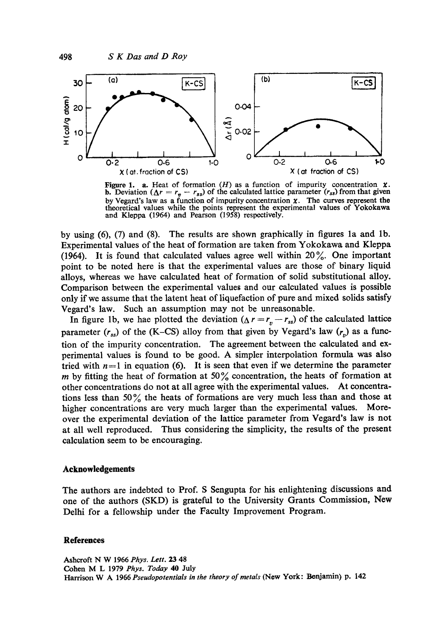

**Figure 1. a.** Heat of formation (*H*) as a function of impurity concentration  $\chi$ .<br>**b.** Deviation ( $\Delta r = r_p - r_{ss}$ ) of the calculated lattice parameter ( $r_{ss}$ ) from that given by Vegard's law as a function of impurity concentration  $\chi$ . The curves represent the theoretical values while the points represent the experimental values of Yokokawa and Kleppa (1964) and Pearson (1958) respectively.

by using (6), (7) and (8). The results are shown graphically in figures la and lb. Experimental values of the heat of formation are taken from Yokokawa and Kleppa (1964). It is found that calculated values agree well within  $20\%$ . One important point to be noted here is that the experimental values are those of binary liquid alloys, whereas we have calculated heat of formation of solid substitutional alloy. Comparison between the experimental values and our calculated values is possible only if we assume that the latent heat of liquefaction of pure and mixed solids satisfy Vegard's law. Such an assumption may not be unreasonable.

In figure 1b, we hae plotted the deviation ( $\Delta r = r_y - r_{ss}$ ) of the calculated lattice parameter  $(r_{ss})$  of the (K–CS) alloy from that given by Vegard's law  $(r_n)$  as a function of the impurity concentration. The agreement between the calculated and experimental values is found to be good. A simpler interpolation formula was also tried with  $n=1$  in equation (6). It is seen that even if we determine the parameter m by fitting the heat of formation at 50% concentration, the heats of formation at other concentrations do not at all agree with the experimental values. At concentrations less than 50 % the heats of formations are very much less than and those at higher concentrations are very much larger than the experimental values. Moreover the experimental deviation of the lattice parameter from Vegard's law is not at all well reproduced. Thus considering the simplicity, the results of the present calculation seem to be encouraging.

### **Acknowledgements**

The authors are indebted to Prof. S Sengupta for his enlightening discussions and one of the authors (SKD) is grateful to the University Grants Commission, New Delhi for a fellowship under the Faculty Improvement Program.

#### **References**

Ashcroft N W 1966 *Phys. Lett.* 23 48 Cohen M L 1979 *Phys. Today* 40 July Harrison W A 1966 *Pseudopotentials in the theory of metals* (New York: Benjamin) p. 142